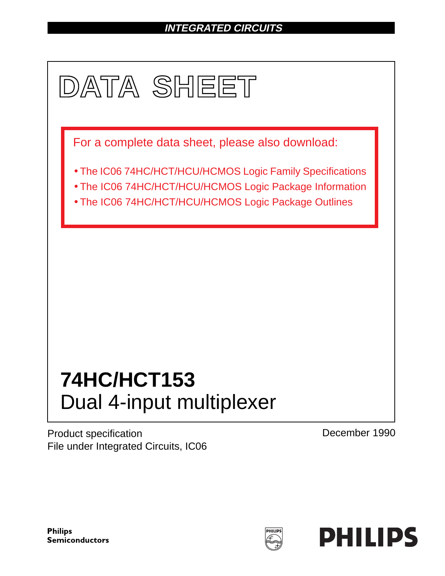# **INTEGRATED CIRCUITS**



Product specification File under Integrated Circuits, IC06 December 1990

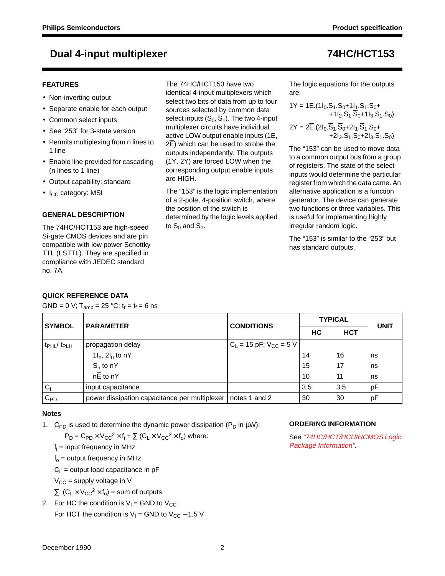### **FEATURES**

- Non-inverting output
- Separate enable for each output
- Common select inputs
- See '253" for 3-state version
- Permits multiplexing from n lines to 1 line
- Enable line provided for cascading (n lines to 1 line)
- Output capability: standard
- $\bullet$  I<sub>CC</sub> category: MSI

### **GENERAL DESCRIPTION**

The 74HC/HCT153 are high-speed Si-gate CMOS devices and are pin compatible with low power Schottky TTL (LSTTL). They are specified in compliance with JEDEC standard no. 7A.

## **QUICK REFERENCE DATA**

GND = 0 V;  $T_{amb}$  = 25 °C;  $t_r = t_f = 6$  ns

The 74HC/HCT153 have two identical 4-input multiplexers which select two bits of data from up to four sources selected by common data select inputs  $(S_0, S_1)$ . The two 4-input multiplexer circuits have individual active LOW output enable inputs (1E, 2E) which can be used to strobe the outputs independently. The outputs (1Y, 2Y) are forced LOW when the corresponding output enable inputs are HIGH.

The "153" is the logic implementation of a 2-pole, 4-position switch, where the position of the switch is determined by the logic levels applied to  $S_0$  and  $S_1$ .

The logic equations for the outputs are:

$$
1Y = 1\overline{E}.(11_0.\overline{S}_1.\overline{S}_0+11_1.\overline{S}_1.S_0++11_2.S_1.\overline{S}_0+11_3.S_1.S_0)2Y = 2\overline{E}.(21_0.\overline{S}_1.\overline{S}_0+21_1.\overline{S}_1.S_0++21_2.S_1.\overline{S}_0+21_3.S_1.S_0)
$$

The "153" can be used to move data to a common output bus from a group of registers. The state of the select inputs would determine the particular register from which the data came. An alternative application is a function generator. The device can generate two functions or three variables. This is useful for implementing highly irregular random logic.

The "153" is similar to the "253" but has standard outputs.

| <b>SYMBOL</b>                       | <b>PARAMETER</b>                                              |                               | <b>TYPICAL</b> | <b>UNIT</b> |    |  |
|-------------------------------------|---------------------------------------------------------------|-------------------------------|----------------|-------------|----|--|
|                                     |                                                               | <b>CONDITIONS</b>             | НC             | <b>HCT</b>  |    |  |
| t <sub>PHL</sub> / t <sub>PLH</sub> | propagation delay                                             | $C_L$ = 15 pF; $V_{CC}$ = 5 V |                |             |    |  |
|                                     | $1I_n$ , $2I_n$ to nY                                         |                               | 14             | 16          | ns |  |
|                                     | $S_n$ to nY                                                   |                               | 15             | 17          | ns |  |
|                                     | $n\overline{E}$ to nY                                         |                               | 10             | 11          | ns |  |
| C <sub>1</sub>                      | input capacitance                                             |                               | 3.5            | 3.5         | рF |  |
| $C_{PD}$                            | power dissipation capacitance per multiplexer   notes 1 and 2 |                               | 30             | 30          | рF |  |

### **Notes**

1. C<sub>PD</sub> is used to determine the dynamic power dissipation ( $P_D$  in  $\mu W$ ):

 $P_D = C_{PD} \times V_{CC}^2 \times f_i + \sum (C_L \times V_{CC}^2 \times f_o)$  where:

 $f_i$  = input frequency in MHz

 $f<sub>o</sub>$  = output frequency in MHz

 $C_1$  = output load capacitance in pF

 $V_{CC}$  = supply voltage in V

 $\sum$  (C<sub>L</sub> × V<sub>CC</sub><sup>2</sup> × f<sub>o</sub>) = sum of outputs

2. For HC the condition is  $V_1$  = GND to  $V_{CC}$ For HCT the condition is  $V_1$  = GND to  $V_{CC}$  – 1.5 V

### **ORDERING INFORMATION**

See "74HC/HCT/HCU/HCMOS Logic Package Information".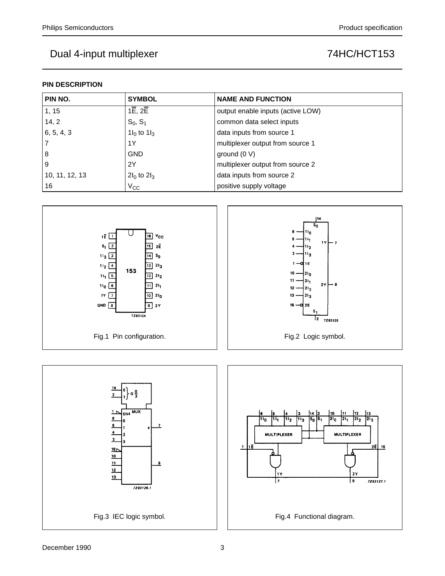## **PIN DESCRIPTION**

| PIN NO.        | <b>SYMBOL</b>                     | <b>NAME AND FUNCTION</b>          |
|----------------|-----------------------------------|-----------------------------------|
| 1, 15          | $1\overline{E}$ , $2\overline{E}$ | output enable inputs (active LOW) |
| 14, 2          | $S_0, S_1$                        | common data select inputs         |
| 6, 5, 4, 3     | $1I_0$ to $1I_3$                  | data inputs from source 1         |
|                | 1Y                                | multiplexer output from source 1  |
| 8              | <b>GND</b>                        | ground $(0 V)$                    |
| 9              | 2Y                                | multiplexer output from source 2  |
| 10, 11, 12, 13 | $2I_0$ to $2I_3$                  | data inputs from source 2         |
| 16             | $V_{\rm CC}$                      | positive supply voltage           |



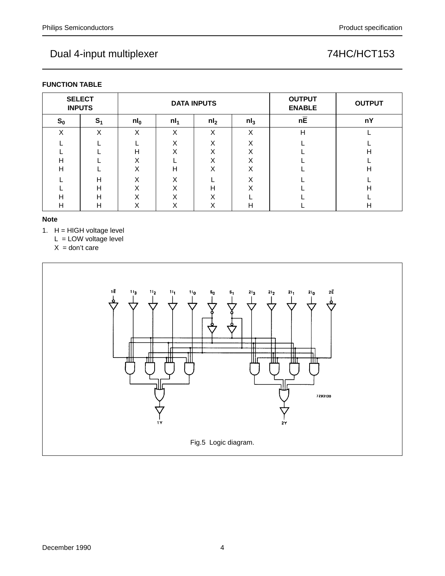| <b>SELECT</b><br><b>INPUTS</b> |                |              |                                     | <b>DATA INPUTS</b> | <b>OUTPUT</b><br><b>ENABLE</b> | <b>OUTPUT</b> |   |
|--------------------------------|----------------|--------------|-------------------------------------|--------------------|--------------------------------|---------------|---|
| $S_0$                          | S <sub>1</sub> | $n l_0$      | $nl_3$<br>$nl_1$<br>nl <sub>2</sub> |                    | $n\overline{E}$                | nY            |   |
| X                              | X              | X            | X                                   | X                  | X                              | Η             |   |
|                                |                |              | v<br>⋏                              | $\checkmark$<br>v  | v<br>∧                         |               |   |
|                                |                | н            | X                                   | X                  | Χ                              |               | H |
| н                              |                | $\checkmark$ |                                     | $\checkmark$<br>⌒  | X                              |               |   |
| н                              |                | X            | Н                                   | X                  | X                              |               | н |
|                                | н              | X            | X                                   |                    | X                              |               |   |
|                                | H              | X            | X                                   | н                  | v<br>л                         |               | н |
| н                              | H              |              | $\check{ }$<br>∧                    | $\checkmark$<br>⌒  |                                |               |   |
| п                              | H              |              | $\check{ }$<br>∧                    | $\checkmark$<br>∧  | н                              |               | н |

### **Note**

1.  $H = HIGH$  voltage level

 $L =$  LOW voltage level

 $X =$  don't care

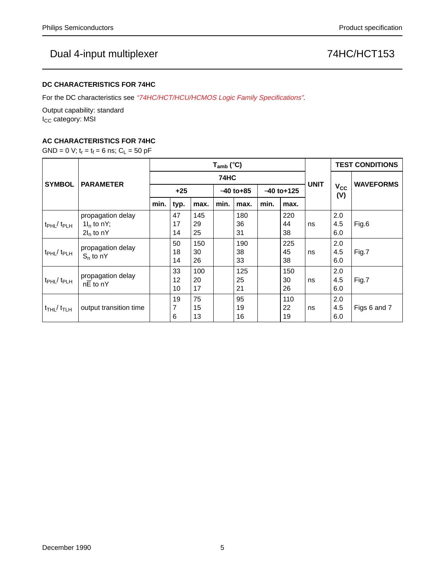### **DC CHARACTERISTICS FOR 74HC**

For the DC characteristics see "74HC/HCT/HCU/HCMOS Logic Family Specifications".

Output capability: standard I<sub>CC</sub> category: MSI

## **AC CHARACTERISTICS FOR 74HC**

GND = 0 V;  $t_r = t_f = 6$  ns;  $C_L = 50$  pF

|                                         | <b>PARAMETER</b>                                   | $T_{amb}$ (°C) |                |                 |              |                 |      |                 | <b>UNIT</b> | <b>TEST CONDITIONS</b> |                  |
|-----------------------------------------|----------------------------------------------------|----------------|----------------|-----------------|--------------|-----------------|------|-----------------|-------------|------------------------|------------------|
| <b>SYMBOL</b>                           |                                                    | 74HC           |                |                 |              |                 |      |                 |             |                        |                  |
|                                         |                                                    | $+25$          |                |                 | $-40$ to +85 |                 |      | $-40$ to+125    |             | $V_{CC}$<br>(V)        | <b>WAVEFORMS</b> |
|                                         |                                                    | min.           | typ.           | max.            | min.         | max.            | min. | max.            |             |                        |                  |
| $tpHL$ $tpLH$                           | propagation delay<br>$1I_n$ to nY;<br>$2I_n$ to nY |                | 47<br>17<br>14 | 145<br>29<br>25 |              | 180<br>36<br>31 |      | 220<br>44<br>38 | ns          | 2.0<br>4.5<br>6.0      | Fig.6            |
| $t_{\rm PHL}$ / $t_{\rm PLH}$           | propagation delay<br>$S_n$ to nY                   |                | 50<br>18<br>14 | 150<br>30<br>26 |              | 190<br>38<br>33 |      | 225<br>45<br>38 | ns          | 2.0<br>4.5<br>6.0      | Fig.7            |
| $t_{\rm PHL}$ / $t_{\rm PLH}$           | propagation delay<br>nE to nY                      |                | 33<br>12<br>10 | 100<br>20<br>17 |              | 125<br>25<br>21 |      | 150<br>30<br>26 | ns          | 2.0<br>4.5<br>6.0      | Fig.7            |
| $t$ <sub>THL</sub> / $t$ <sub>TLH</sub> | output transition time                             |                | 19<br>7<br>6   | 75<br>15<br>13  |              | 95<br>19<br>16  |      | 110<br>22<br>19 | ns          | 2.0<br>4.5<br>6.0      | Figs 6 and 7     |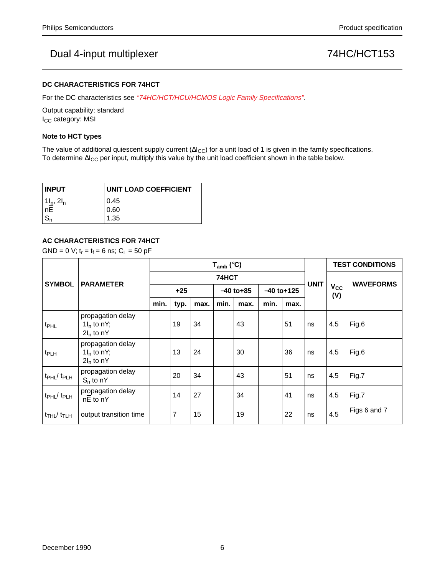### **DC CHARACTERISTICS FOR 74HCT**

For the DC characteristics see "74HC/HCT/HCU/HCMOS Logic Family Specifications".

Output capability: standard I<sub>CC</sub> category: MSI

### **Note to HCT types**

The value of additional quiescent supply current ( $\Delta I_{CC}$ ) for a unit load of 1 is given in the family specifications. To determine ∆I<sub>CC</sub> per input, multiply this value by the unit load coefficient shown in the table below.

| <b>INPUT</b>                                       | <b>UNIT LOAD COEFFICIENT</b> |  |  |  |  |  |  |
|----------------------------------------------------|------------------------------|--|--|--|--|--|--|
| $\left  \frac{1I_n}{nE} \right $ . 2l <sub>n</sub> | 0.45                         |  |  |  |  |  |  |
|                                                    | 0.60                         |  |  |  |  |  |  |
| $^{\prime}$ S <sub>n</sub>                         | 1.35                         |  |  |  |  |  |  |

## **AC CHARACTERISTICS FOR 74HCT**

 $GND = 0$  V;  $t_r = t_f = 6$  ns;  $C_L = 50$  pF

|                                           | <b>PARAMETER</b>                                   | $T_{amb}$ (°C) |                |      |      |                              |      |      |             | <b>TEST CONDITIONS</b> |                  |
|-------------------------------------------|----------------------------------------------------|----------------|----------------|------|------|------------------------------|------|------|-------------|------------------------|------------------|
| <b>SYMBOL</b>                             |                                                    | 74HCT          |                |      |      |                              |      |      |             | <b>V<sub>cc</sub></b>  | <b>WAVEFORMS</b> |
|                                           |                                                    | $+25$          |                |      |      | $-40$ to+125<br>$-40$ to +85 |      |      | <b>UNIT</b> |                        |                  |
|                                           |                                                    | min.           | typ.           | max. | min. | max.                         | min. | max. |             | (V)                    |                  |
| t <sub>PHL</sub>                          | propagation delay<br>$1I_n$ to nY;<br>$2I_n$ to nY |                | 19             | 34   |      | 43                           |      | 51   | ns          | 4.5                    | Fig.6            |
| t <sub>PLH</sub>                          | propagation delay<br>$1I_n$ to nY;<br>$2I_n$ to nY |                | 13             | 24   |      | 30                           |      | 36   | ns          | 4.5                    | Fig.6            |
| $t$ PHL $/$ $t$ PLH                       | propagation delay<br>$S_n$ to nY                   |                | 20             | 34   |      | 43                           |      | 51   | ns          | 4.5                    | Fig.7            |
| t <sub>PHL</sub> / t <sub>PLH</sub>       | propagation delay<br>nE to nY                      |                | 14             | 27   |      | 34                           |      | 41   | ns          | 4.5                    | Fig.7            |
| $t$ <sub>THL</sub> $/$ $t$ <sub>TLH</sub> | output transition time                             |                | $\overline{7}$ | 15   |      | 19                           |      | 22   | ns          | 4.5                    | Figs 6 and 7     |